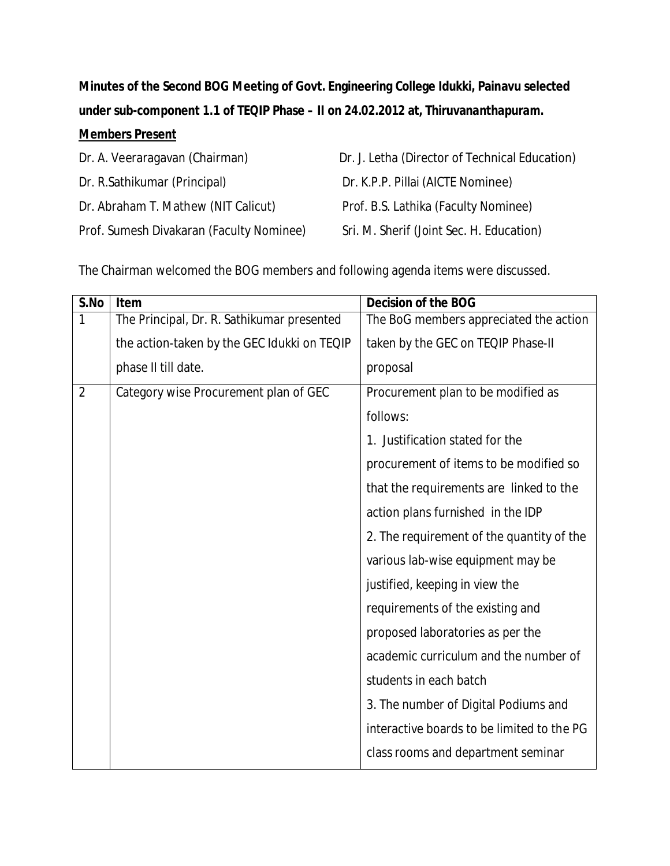**Minutes of the Second BOG Meeting of Govt. Engineering College Idukki, Painavu selected under sub-component 1.1 of TEQIP Phase – II on 24.02.2012 at, Thiruvananthapuram.**

## **Members Present**

| Dr. A. Veeraragavan (Chairman)           | Dr. J. Letha (Director of Technical Education) |
|------------------------------------------|------------------------------------------------|
| Dr. R.Sathikumar (Principal)             | Dr. K.P.P. Pillai (AICTE Nominee)              |
| Dr. Abraham T. Mathew (NIT Calicut)      | Prof. B.S. Lathika (Faculty Nominee)           |
| Prof. Sumesh Divakaran (Faculty Nominee) | Sri. M. Sherif (Joint Sec. H. Education)       |

The Chairman welcomed the BOG members and following agenda items were discussed.

| S.No           | Item                                        | Decision of the BOG                        |
|----------------|---------------------------------------------|--------------------------------------------|
| 1              | The Principal, Dr. R. Sathikumar presented  | The BoG members appreciated the action     |
|                | the action-taken by the GEC Idukki on TEQIP | taken by the GEC on TEQIP Phase-II         |
|                | phase II till date.                         | proposal                                   |
| $\overline{2}$ | Category wise Procurement plan of GEC       | Procurement plan to be modified as         |
|                |                                             | follows:                                   |
|                |                                             | 1. Justification stated for the            |
|                |                                             | procurement of items to be modified so     |
|                |                                             | that the requirements are linked to the    |
|                |                                             | action plans furnished in the IDP          |
|                |                                             | 2. The requirement of the quantity of the  |
|                |                                             | various lab-wise equipment may be          |
|                |                                             | justified, keeping in view the             |
|                |                                             | requirements of the existing and           |
|                |                                             | proposed laboratories as per the           |
|                |                                             | academic curriculum and the number of      |
|                |                                             | students in each batch                     |
|                |                                             | 3. The number of Digital Podiums and       |
|                |                                             | interactive boards to be limited to the PG |
|                |                                             | class rooms and department seminar         |